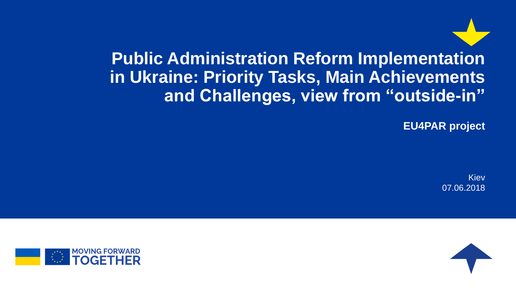**Public Administration Reform Implementation in Ukraine: Priority Tasks, Main Achievements and Challenges, view from "outside-in"**

**EU4PAR project**

Kiev 07.06.2018



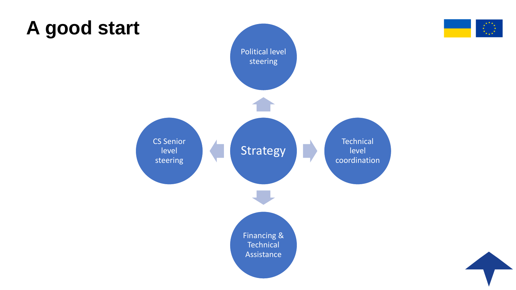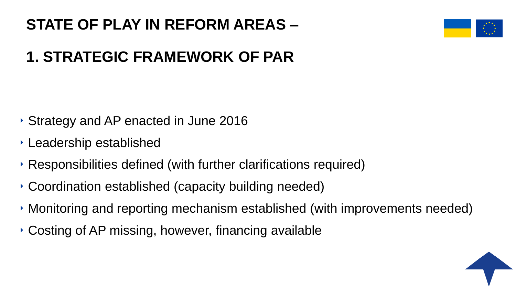#### **STATE OF PLAY IN REFORM AREAS –**



## **1. STRATEGIC FRAMEWORK OF PAR**

- ‣ Strategy and AP enacted in June 2016
- ‣ Leadership established
- ‣ Responsibilities defined (with further clarifications required)
- ‣ Coordination established (capacity building needed)
- ‣ Monitoring and reporting mechanism established (with improvements needed)
- ‣ Costing of AP missing, however, financing available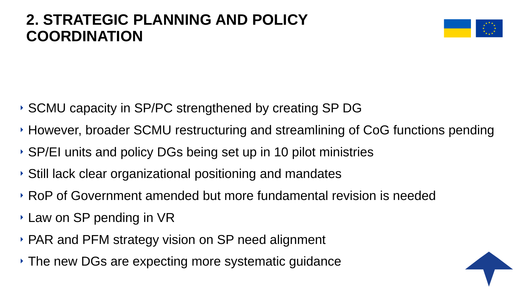#### **2. STRATEGIC PLANNING AND POLICY COORDINATION**



- ‣ SCMU capacity in SP/PC strengthened by creating SP DG
- ‣ However, broader SCMU restructuring and streamlining of CoG functions pending
- ‣ SP/EI units and policy DGs being set up in 10 pilot ministries
- ‣ Still lack clear organizational positioning and mandates
- ‣ RoP of Government amended but more fundamental revision is needed
- ‣ Law on SP pending in VR
- ‣ PAR and PFM strategy vision on SP need alignment
- ‣ The new DGs are expecting more systematic guidance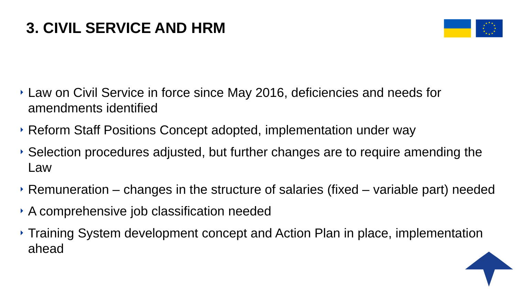

- ‣ Law on Civil Service in force since May 2016, deficiencies and needs for amendments identified
- ‣ Reform Staff Positions Concept adopted, implementation under way
- ‣ Selection procedures adjusted, but further changes are to require amending the Law
- $\rightarrow$  Remuneration changes in the structure of salaries (fixed variable part) needed
- ‣ A comprehensive job classification needed
- ‣ Training System development concept and Action Plan in place, implementation ahead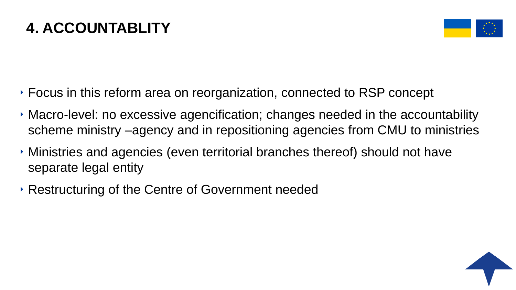### **4. ACCOUNTABLITY**



- ‣ Focus in this reform area on reorganization, connected to RSP concept
- ‣ Macro-level: no excessive agencification; changes needed in the accountability scheme ministry –agency and in repositioning agencies from CMU to ministries
- ‣ Ministries and agencies (even territorial branches thereof) should not have separate legal entity
- ‣ Restructuring of the Centre of Government needed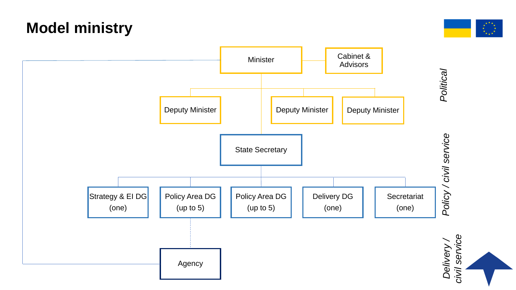

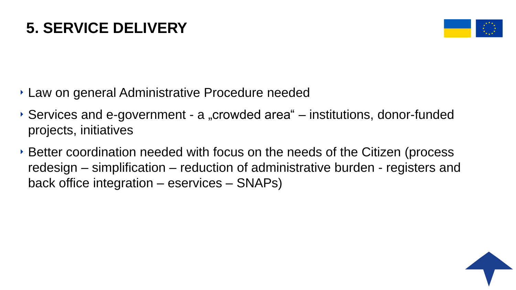#### **5. SERVICE DELIVERY**



- ‣ Law on general Administrative Procedure needed
- $\rightarrow$  Services and e-government a "crowded area" institutions, donor-funded projects, initiatives
- ‣ Better coordination needed with focus on the needs of the Citizen (process redesign – simplification – reduction of administrative burden - registers and back office integration – eservices – SNAPs)